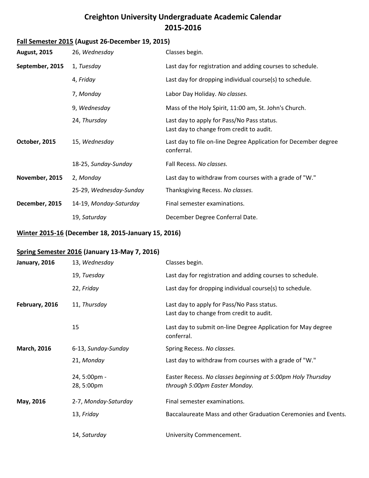### **Creighton University Undergraduate Academic Calendar 2015-2016**

# **Fall Semester 2015 (August 26-December 19, 2015)**

| <b>August, 2015</b> | 26, Wednesday           | Classes begin.                                                                         |
|---------------------|-------------------------|----------------------------------------------------------------------------------------|
| September, 2015     | 1, Tuesday              | Last day for registration and adding courses to schedule.                              |
|                     | 4, Friday               | Last day for dropping individual course(s) to schedule.                                |
|                     | 7, Monday               | Labor Day Holiday. No classes.                                                         |
|                     | 9, Wednesday            | Mass of the Holy Spirit, 11:00 am, St. John's Church.                                  |
|                     | 24, Thursday            | Last day to apply for Pass/No Pass status.<br>Last day to change from credit to audit. |
| October, 2015       | 15, Wednesday           | Last day to file on-line Degree Application for December degree<br>conferral.          |
|                     | 18-25, Sunday-Sunday    | Fall Recess. No classes.                                                               |
| November, 2015      | 2, Monday               | Last day to withdraw from courses with a grade of "W."                                 |
|                     | 25-29, Wednesday-Sunday | Thanksgiving Recess. No classes.                                                       |
| December, 2015      | 14-19, Monday-Saturday  | Final semester examinations.                                                           |
|                     | 19, Saturday            | December Degree Conferral Date.                                                        |

#### **Winter 2015-16 (December 18, 2015-January 15, 2016)**

#### **Spring Semester 2016 (January 13-May 7, 2016)**

| January, 2016      | 13, Wednesday              | Classes begin.                                                                               |
|--------------------|----------------------------|----------------------------------------------------------------------------------------------|
|                    | 19, Tuesday                | Last day for registration and adding courses to schedule.                                    |
|                    | 22, Friday                 | Last day for dropping individual course(s) to schedule.                                      |
| February, 2016     | 11, Thursday               | Last day to apply for Pass/No Pass status.<br>Last day to change from credit to audit.       |
|                    | 15                         | Last day to submit on-line Degree Application for May degree<br>conferral.                   |
| <b>March, 2016</b> | 6-13, Sunday-Sunday        | Spring Recess. No classes.                                                                   |
|                    | 21, Monday                 | Last day to withdraw from courses with a grade of "W."                                       |
|                    | 24, 5:00pm -<br>28, 5:00pm | Easter Recess. No classes beginning at 5:00pm Holy Thursday<br>through 5:00pm Easter Monday. |
| May, 2016          | 2-7, Monday-Saturday       | Final semester examinations.                                                                 |
|                    | 13, Friday                 | Baccalaureate Mass and other Graduation Ceremonies and Events.                               |
|                    | 14, Saturday               | University Commencement.                                                                     |